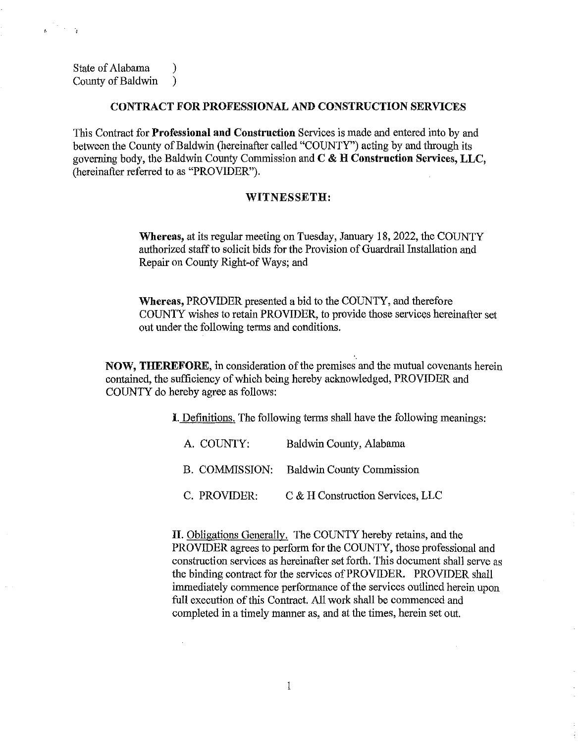State of Alabama (1) County of Baldwin )

 $\mathbb{R}^2 \times \mathbb{R}$ 

 $\mathbf{E}$ 

## CONTRACT FOR PROFESSIONAL AND CONSTRUCTION SERVICES

This Contract for Professional **and** Construction Services is made and entered into by and between the County of Baldwin (hereinafter called "COUNTY") acting by and through its governing body, the Baldwin County Commission and C & H Construction Services, LLC, (hereinafter referred to as "PROVIDER").

## WITNESSETH:

Whereas, at its regular meeting on Tuesday, January 18, 2022, the COUNTY authorized staff to solicit bids for the Provision of Guardrail Installation and Repair on County Right-of Ways; and

Whereas, PROVIDER presented a bid to the COUNTY, and therefore COUNTY wishes to retain PROVIDER, to provide those services hereinafter set out under the following terms and conditions.

NOW, THEREFORE, in consideration of the premises and the mutual covenants herein contained, the sufficiency of which being hereby acknowledged, PROVIDER and COUNTY do hereby agree as follows:

I. Definitions. The following terms shall have the following meanings:

| A. COUNTY:   | Baldwin County, Alabama                  |  |
|--------------|------------------------------------------|--|
|              | B. COMMISSION: Baldwin County Commission |  |
| C. PROVIDER: | C & H Construction Services, LLC         |  |

II. Obligations Generally. The COUNTY hereby retains, and the PROVIDER agrees to perform for the COUNTY, those professional and construction services as hereinafter set forth. This document shall serve as the binding contract for the services of PROVIDER. PROVIDER shall immediately commence performance of the services outlined herein upon full execution of this Contract. All work shall be commenced and completed in a timely manner as, and at the times, herein set out.

 $\bar{\mathcal{A}}$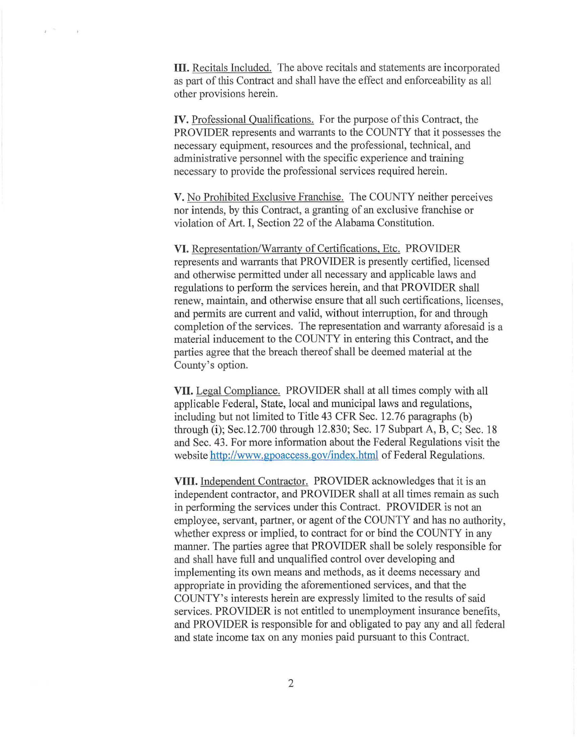**Ill.** Recitals Included. The above recitals and statements are incorporated as part of this Contract and shall have the effect and enforceability as all other provisions herein.

 $\epsilon^{-2\alpha}$ 

 $\sim$ 

**IV.** Professional Qualifications. For the purpose of this Contract, the PROVIDER represents and warrants to the COUNTY that it possesses the necessary equipment, resources and the professional, technical, and administrative personnel with the specific experience and training necessary to provide the professional services required herein.

V. No Prohibited Exclusive Franchise. The COUNTY neither perceives nor intends, by this Contract, a granting of an exclusive franchise or violation of Art. I, Section 22 of the Alabama Constitution.

VI. Representation/Warranty of Certifications, Etc. PROVIDER represents and warrants that PROVIDER is presently certified, licensed and otherwise permitted under all necessary and applicable laws and regulations to perform the services herein, and that PROVIDER shall renew, maintain, and otherwise ensure that all such certifications, licenses, and permits are current and valid, without interruption, for and through completion of the services. The representation and warranty aforesaid is a material inducement to the COUNTY in entering this Contract, and the parties agree that the breach thereof shall be deemed material at the County's option.

**VII.** Legal Compliance. PROVIDER shall at all times comply with all applicable Federal, State, local and municipal laws and regulations, including but not limited to Title 43 CFR Sec. 12.76 paragraphs (b) through (i); Sec.12.700 through 12.830; Sec. 17 Subpart A, B, C; Sec. 18 and Sec. 43. For more information about the Federal Regulations visit the website http://www.gpoaccess.gov/index.html of Federal Regulations.

**VIII.** Independent Contractor. PROVIDER acknowledges that it is an independent contractor, and PROVIDER shall at all times remain as such in performing the services under this Contract. PROVIDER is not an employee, servant, partner, or agent of the COUNTY and has no authority, whether express or implied, to contract for or bind the COUNTY in any manner. The parties agree that PROVIDER shall be solely responsible for and shall have full and unqualified control over developing and implementing its own means and methods, as it deems necessary and appropriate in providing the aforementioned services, and that the COUNTY's interests herein are expressly limited to the results of said services. PROVIDER is not entitled to unemployment insurance benefits, and PROVIDER is responsible for and obligated to pay any and all federal and state income tax on any monies paid pursuant to this Contract.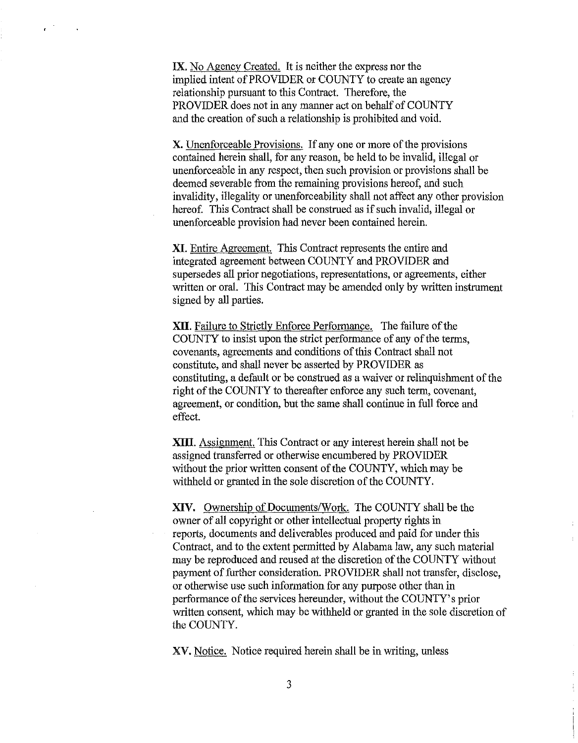IX. No Agency Created. It is neither the express nor the implied intent of PROVIDER or COUNTY to create an agency relationship pursuant to this Contract. Therefore, the PROVIDER does not in any manner act on behalf of COUNTY and the creation of such a relationship is prohibited and void.

X. Unenforceable Provisions. If any one or more of the provisions contained herein shall, for any reason, be held to be invalid, illegal or unenforceable in any respect, then such provision or provisions shall be deemed severable from the remaining provisions hereof, and such invalidity, illegality or unenforceability shall not affect any other provision hereof. This Contract shall be construed as if such invalid, illegal or unenforceable provision had never been contained herein.

**XI.** Entire Agreement. This Contract represents the entire and integrated agreement between COUNTY and PROVIDER and supersedes all prior negotiations, representations, or agreements, either written or oral. This Contract may be amended only by written instrument signed by all parties.

**XII.** Failure to Strictly Enforce Performance. The failure of the COUNTY to insist upon the strict performance of any of the terms, covenants, agreements and conditions of this Contract shall not constitute, and shall never be asserted by PROVIDER as constituting, a default or be construed as a waiver or relinquishment of the right of the COUNTY to thereafter enforce any such term, covenant, agreement, or condition, but the same shall continue in full force and effect.

**XIII.** Assignment. This Contract or any interest herein shall not be assigned transferred or otherwise encumbered by PROVIDER without the prior written consent of the COUNTY, which may be withheld or granted in the sole discretion of the COUNTY.

**XIV.** Ownership of Documents/Work. The COUNTY shall be the owner of all copyright or other intellectual property rights in reports, documents and deliverables produced and paid for under this Contract, and to the extent permitted by Alabama law, any such material may be reproduced and reused at the discretion of the COUNTY without payment of further consideration. PROVIDER shall not transfer, disclose, or otherwise use such information for any purpose other than in performance of the services hereunder, without the COUNTY's prior written consent, which may be withheld or granted in the sole discretion of the COUNTY.

XV. Notice. Notice required herein shall be in writing, unless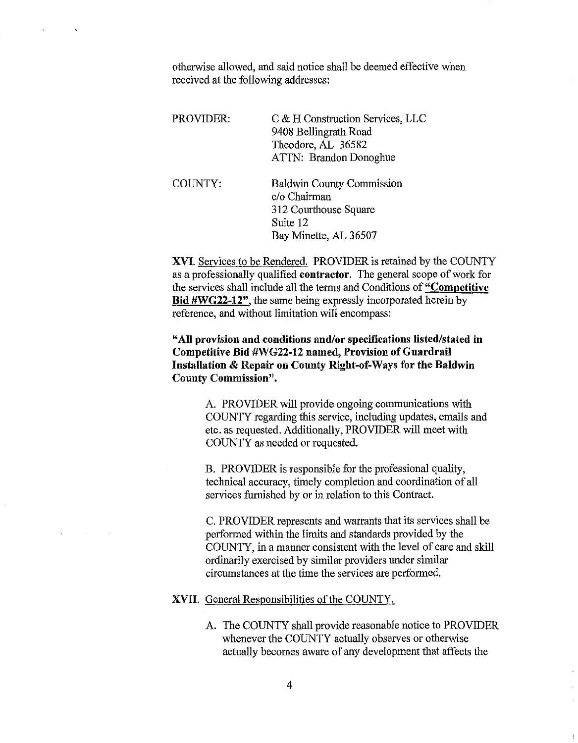otherwise allowed, and said notice shall be deemed effective when received at the following addresses:

 $\bullet$ 

 $\sim 10^{11}$  km  $^{-1}$ 

| PROVIDER: | C & H Construction Services, LLC<br>9408 Bellingrath Road<br>Theodore, AL 36582<br>ATTN: Brandon Donoghue      |
|-----------|----------------------------------------------------------------------------------------------------------------|
| COUNTY:   | <b>Baldwin County Commission</b><br>c/o Chairman<br>312 Courthouse Square<br>Suite 12<br>Bay Minette, AL 36507 |

XVI. Services to be Rendered. PROVIDER is retained by the COUNTY as a professionally qualified contractor. The general scope of work for the services shall include all the terms and Conditions of "Competitive" Bid #WG22-12", the same being expressly incorporated herein by reference, and without limitation will encompass:

"All provision and conditions and/or specifications listed/stated in Competitive Bid #WG22-12 named, Provision of Guardrail Installation & Repair on County Right-of-Ways for the Baldwin County Commission".

> A. PROVIDER will provide ongoing communications with COUNTY regarding this service, including updates, emails and etc. as requested. Additionally, PROVIDER will meet with COUNTY as needed or requested.

B. PROVIDER is responsible for the professional quality, technical accuracy, timely completion and coordination of all services furnished by or in relation to this Contract.

C. PROVIDER represents and warrants that its services shall be performed within the limits and standards provided by the COUNTY, in a manner consistent with the level of care and skill ordinarily exercised by similar providers under similar circumstances at the time the services are performed.

XVII. General Responsibilities of the COUNTY.

A. The COUNTY shall provide reasonable notice to PROVIDER whenever the COUNTY actually observes or otherwise actually becomes aware of any development that affects the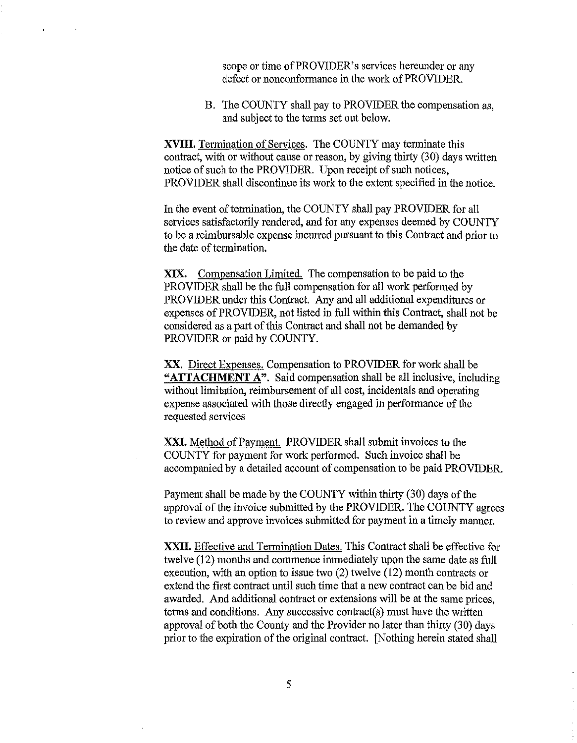scope or time of PROVIDER's services hereunder or any defect or nonconformance in the work of PROVIDER.

B. The COUNTY shall pay to PROVIDER the compensation as, and subject to the terms set out below.

**XVIII.** Termination of Services. The COUNTY may terminate this contract, with or without cause or reason, by giving thirty (30) days written notice of such to the PROVIDER. Upon receipt of such notices, PROVIDER shall discontinue its work to the extent specified in the notice.

 $\epsilon$ 

 $\bullet$ 

In the event of termination, the COUNTY shall pay PROVIDER for all services satisfactorily rendered, and for any expenses deemed by COUNTY to be a reimbursable expense incurred pursuant to this Contract and prior to the date of termination.

XIX. Compensation Limited. The compensation to be paid to the PROVIDER shall be the full compensation for all work performed by PROVIDER under this Contract. Any and all additional expenditures or expenses of PROVIDER, not listed in full within this Contract, shall not be considered as a part of this Contract and shall not be demanded by PROVIDER or paid by COUNTY.

XX. Direct Expenses. Compensation to PROVIDER for work shall be **"ATTACHMENT** A". Said compensation shall be all inclusive, including without limitation, reimbursement of all cost, incidentals and operating expense associated wi1h 1hose directly engaged in performance of the requested services

XXI. Method of Payment. PROVIDER shall submit invoices to the COUNTY for payment for work performed. Such invoice shall be accompanied by a detailed account of compensation to be paid PROVIDER.

Payment shall be made by the COUNTY within thirty (30) days of the approval of the invoice submitted by the PROVIDER. The COUNTY agrees to review and approve invoices submitted for payment in a timely manner.

XXII. Effective and Termination Dates. This Contract shall be effective for twelve (12) months and commence immediately upon the same date as full execution, with an option to issue two (2) twelve (12) month contracts or extend the first contract until such time that a new contract can be bid and awarded. And additional contract or extensions will be at the same prices, terms and conditions. Any successive contract(s) must have the written approval of both the County and the Provider no later than thirty (30) days prior to the expiration of the original contract. [Nothing herein stated shall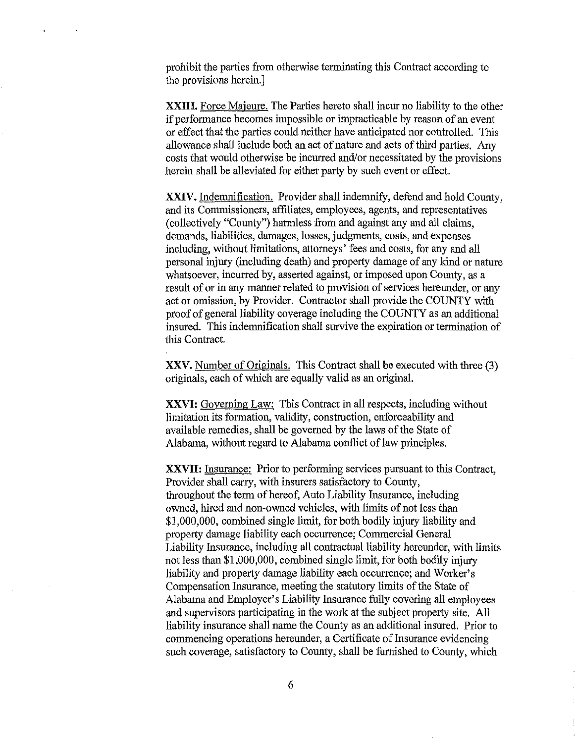prohibit the parties from otherwise terminating this Contract according to the provisions herein.]

XXIII. Force Majeure. The Parties hereto shall incur no liability to the other if performance becomes impossible or impracticable by reason of an event or effect that the parties could neither have anticipated nor controlled. This allowance shall include both an act of nature and acts of third parties. Any costs that would otherwise be incurred and/or necessitated by the provisions herein shall be alleviated for either party by such event or effect.

**XXIV.** Indemnification. Provider shall indemnify, defend and hold County, and its Commissioners, affiliates, employees, agents, and representatives (collectively "County") harmless from and against any and all claims, demands, liabilities, damages, losses, judgments, costs, and expenses including, without limitations, attorneys' fees and costs, for any and all personal injury (including death) and property damage of any kind or nature whatsoever, incurred by, asserted against, or imposed upon County, as a result of or in any manner related to provision of services hereunder, or any act or omission, by Provider. Contractor shall provide the COUNTY with proof of general liability coverage including the COUNTY as an additional insured. This indemnification shall survive the expiration or termination of this Contract.

XXV. Number of Originals. This Contract shall be executed with three (3) originals, each of which are equally valid as an original.

XXVI: Governing Law: This Contract in all respects, including without limitation its formation, validity, construction, enforceability and available remedies, shall be governed by the laws of the State of Alabama, without regard to Alabama conflict of law principles.

**XXVII:** Insurance: Prior to performing services pursuant to this Contract, Provider shall carry, with insurers satisfactory to County, throughout the term of hereof, Auto Liability Insurance, including owned, hired and non-owned vehicles, with limits of not less than \$1,000,000, combined single limit, for both bodily injury liability and property damage liability each occurrence; Commercial General Liability Insurance, including all contractual liability hereunder, with limits not less than \$1,000,000, combined single limit, for both bodily injury liability and property damage liability each occurrence; and Worker's Compensation Insurance, meeting the statutory limits of the State of Alabama and Employer's Liability Insurance fully covering all employees and supervisors participating in the work at the subject property site. All liability insurance shall name the County as an additional insured. Prior to commencing operations hereunder, a Certificate of Insurance evidencing such coverage, satisfactory to County, shall be furnished to County, which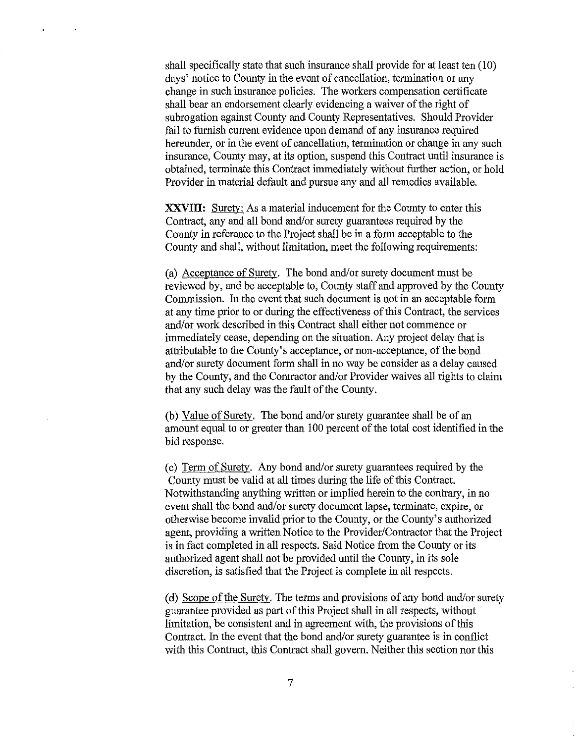shall specifically state that such insurance shall provide for at least ten (10) days' notice to County in the event of cancellation, termination or any change in such insurance policies. The workers compensation certificate shall bear an endorsement clearly evidencing a waiver of the right of subrogation against County and County Representatives. Should Provider fail to furnish current evidence upon demand of any insurance required hereunder, or in the event of cancellation, termination or change in any such insurance, County may, at its option, suspend this Contract until insurance is obtained, terminate this Contract immediately without further action, or hold Provider in material default and pursue any and all remedies available.

**XXVIII:** Surety: As a material inducement for the County to enter this Contract, any and all bond and/or surety guarantees required by the County in reference to the Project shall be in a form acceptable to the County and shall, without limitation, meet the following requirements:

(a) Acceptance of Surety. The bond and/or surety document must be reviewed by, and be acceptable to, County staff and approved by the County Commission. In the event that such document is not in an acceptable form at any time prior to or during the effectiveness of this Contract, the services and/or work described in this Contract shall either not commence or immediately cease, depending on the situation. Any project delay that is attributable to the County's acceptance, or non-acceptance, of the bond and/or surety document form shall in no way be consider as a delay caused by the County, and the Contractor and/or Provider waives all rights to claim that any such delay was the fault of the County.

(b) Value of Surety. The bond and/or surety guarantee shall be of an amount equal to or greater than 100 percent of the total cost identified in the bid response.

(c) Term of Surety. Any bond and/or surety guarantees required by the County must be valid at all times during the life of this Contract. Notwithstanding anything written or implied herein to the contrary, in no event shall the bond and/or surety document lapse, terminate, expire, or otherwise become invalid prior to the County, or the County's authorized agent, providing a written Notice to the Provider/Contractor that the Project is in fact completed in all respects. Said Notice from the County or its authorized agent shall not be provided until the County, in its sole discretion, is satisfied that the Project is complete in all respects.

(d) Scope of the Surety. The terms and provisions of any bond and/or surety guarantee provided as part of this Project shall in all respects, without limitation, be consistent and in agreement with, the provisions of this Contract. In the event that the bond and/or surety guarantee is in conflict with this Contract, this Contract shall govern. Neither this section nor this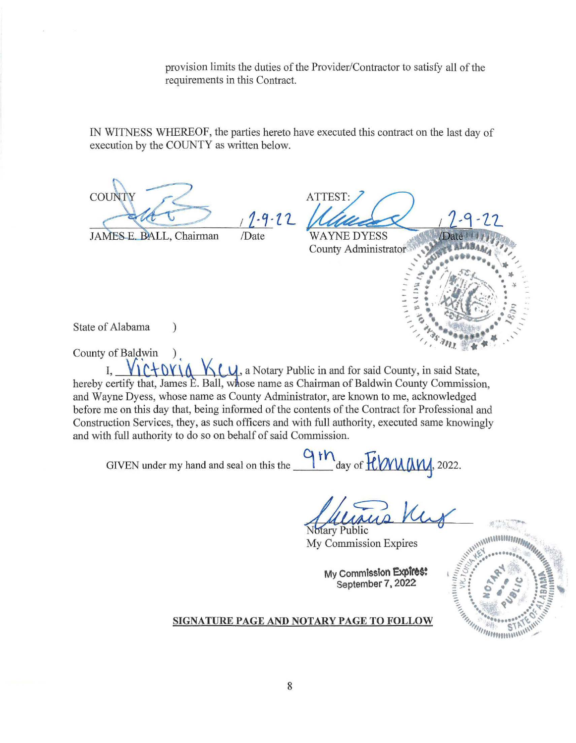provision limits the duties of the Provider/Contractor to satisfy all of the requirements in this Contract.

IN WITNESS WHEREOF, the parties hereto have executed this contract on the last day of execution by the COUNTY as written below.

COU ATTEST:  $1 - 9 - 22$ /Date **WAYNE DYESS** JAMES E. BALL, Chairman ...... -~ ···•···· / .... ..,, .... . .. / / County Administrator'· , ' ~ .. *'* **<sup>1</sup>**  $\theta$ <sub>x</sub> \_, .-. • /ft... **..-fi!'/.** • .. - .... **I ,,.z·** ........\_ ·. .  $\cdot$  ... : ~. • I •• , .... .r'.··''-'\ **0** ·~ • ·  $\sum_{m}$ State of Alabama )  $\frac{1}{2}$  $I, \quad \sqrt{\frac{1}{2}W} \$   $\frac{1}{2}W$ , a Notary Public in and for said County, in said State,

hereby certify that, James E. Ball, whose name as Chairman of Baldwin County Commission, and Wayne Dyess, whose name as County Administrator, are known to me, acknowledged before me on this day that, being informed of the contents of the Contract for Professional and Construction Services, they, as such officers and with full authority, executed same knowingly and with full authority to do so on behalf of said Commission.

GIVEN under my hand and seal on this the  $\frac{9 \text{th}}{4}$  day of  $\frac{7 \text{th}}{114}$ , 2022.

Hammer Hammer Ward

My Commission Expires

**My Commission Expires: September 7, 2022** 



County of Baldwin )